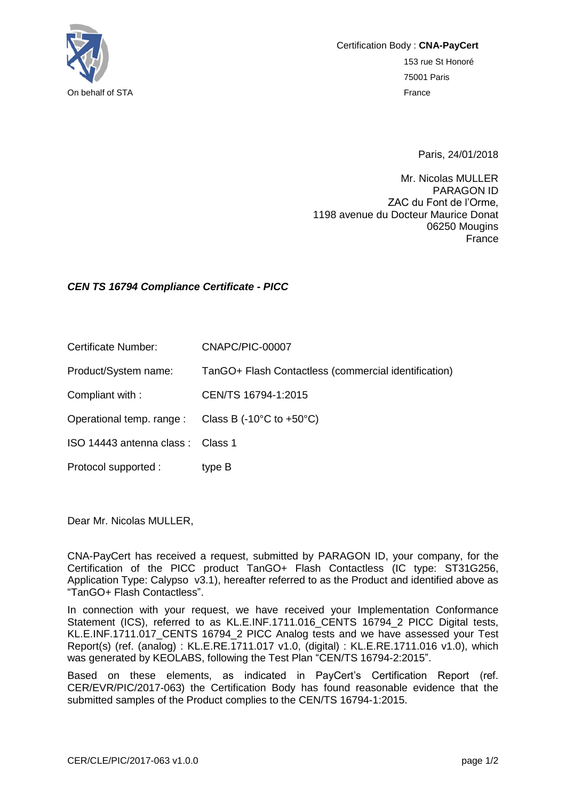

Certification Body : **CNA-PayCert** 153 rue St Honoré 75001 Paris On behalf of STA France

Paris, 24/01/2018

Mr. Nicolas MULLER PARAGON ID ZAC du Font de l'Orme, 1198 avenue du Docteur Maurice Donat 06250 Mougins France

## *CEN TS 16794 Compliance Certificate - PICC*

Certificate Number: CNAPC/PIC-00007

Product/System name: TanGO+ Flash Contactless (commercial identification)

Compliant with : CEN/TS 16794-1:2015

Operational temp. range : Class B (-10°C to +50°C)

ISO 14443 antenna class : Class 1

Protocol supported : type B

Dear Mr. Nicolas MULLER,

CNA-PayCert has received a request, submitted by PARAGON ID, your company, for the Certification of the PICC product TanGO+ Flash Contactless (IC type: ST31G256, Application Type: Calypso v3.1), hereafter referred to as the Product and identified above as "TanGO+ Flash Contactless".

In connection with your request, we have received your Implementation Conformance Statement (ICS), referred to as KL.E.INF.1711.016 CENTS 16794 2 PICC Digital tests, KL.E.INF.1711.017\_CENTS 16794\_2 PICC Analog tests and we have assessed your Test Report(s) (ref. (analog) : KL.E.RE.1711.017 v1.0, (digital) : KL.E.RE.1711.016 v1.0), which was generated by KEOLABS, following the Test Plan "CEN/TS 16794-2:2015".

Based on these elements, as indicated in PayCert's Certification Report (ref. CER/EVR/PIC/2017-063) the Certification Body has found reasonable evidence that the submitted samples of the Product complies to the CEN/TS 16794-1:2015.